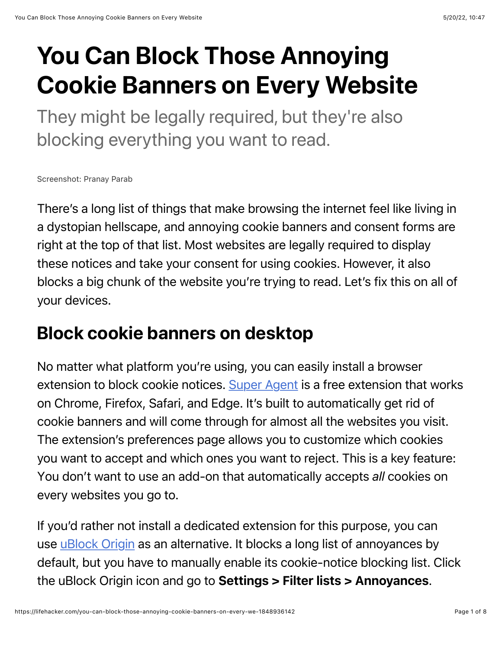# You Can Block Those Annoying Cookie Banners on Every Website

They might be legally required, but they're also blocking everything you want to read.

Screenshot: Pranay Parab

There's a long list of things that make browsing the internet feel like living in a dystopian hellscape, and annoying cookie banners and consent forms are right at the top of that list. Most websites are legally required to display these notices and take your consent for using cookies. However, it also blocks a big chunk of the website you're trying to read. Let's fix this on all of your devices.

### Block cookie banners on desktop

No matter what platform you're using, you can easily install a browser extension to block cookie notices. [Super Agent](https://www.super-agent.com/) is a free extension that works on Chrome, Firefox, Safari, and Edge. It's built to automatically get rid of cookie banners and will come through for almost all the websites you visit. The extension's preferences page allows you to customize which cookies you want to accept and which ones you want to reject. This is a key feature: You don't want to use an add-on that automatically accepts *all* cookies on every websites you go to.

If you'd rather not install a dedicated extension for this purpose, you can use [uBlock Origin](https://ublockorigin.com/) as an alternative. It blocks a long list of annoyances by default, but you have to manually enable its cookie-notice blocking list. Click the uBlock Origin icon and go to Settings > Filter lists > Annoyances.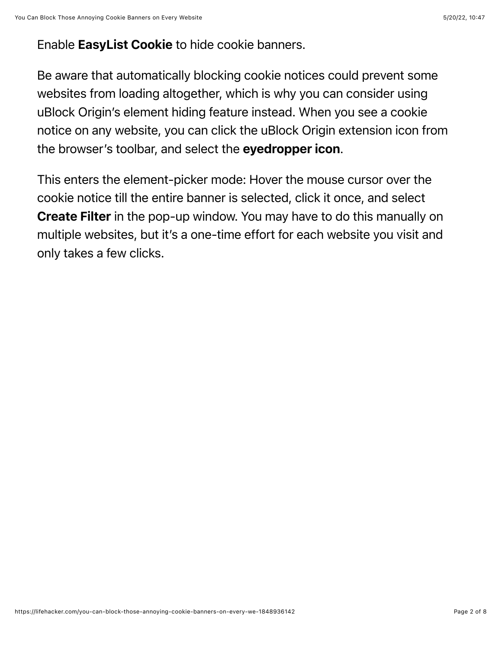#### Enable EasyList Cookie to hide cookie banners.

Be aware that automatically blocking cookie notices could prevent some websites from loading altogether, which is why you can consider using uBlock Origin's element hiding feature instead. When you see a cookie notice on any website, you can click the uBlock Origin extension icon from the browser's toolbar, and select the evedropper icon.

This enters the element-picker mode: Hover the mouse cursor over the cookie notice till the entire banner is selected, click it once, and select Create Filter in the pop-up window. You may have to do this manually on multiple websites, but it's a one-time effort for each website you visit and only takes a few clicks.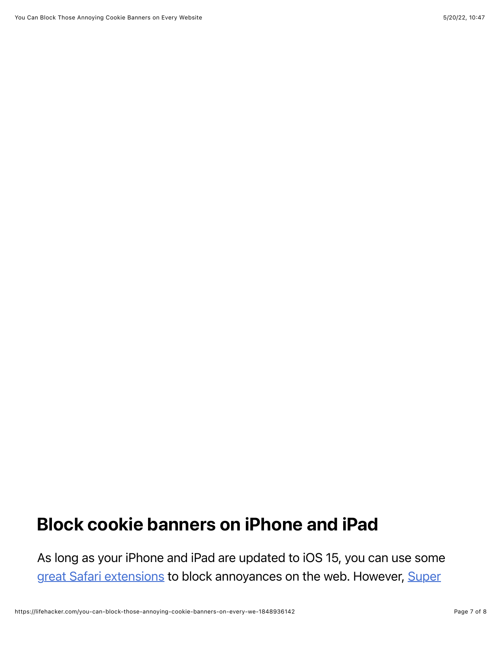## Block cookie banners on iPhone and iPad

As long as your iPhone and iPad are updated to iOS 15, you can use some [great Safari extension](https://lifehacker.com/12-better-ways-to-browse-the-internet-on-your-iphone-1847726577)[s to block annoyances on the web. However, Super](https://www.super-agent.com/)